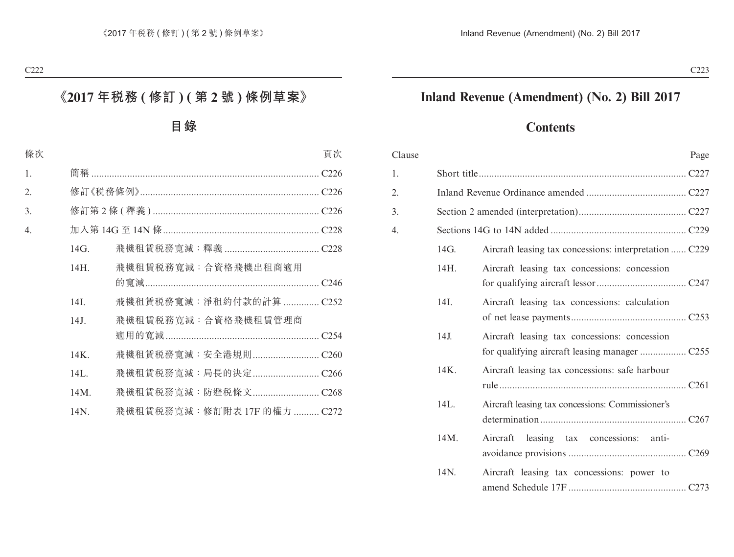## **Inland Revenue (Amendment) (No. 2) Bill 2017**

## **Contents**

| Clause |         | Page                                                   |  |
|--------|---------|--------------------------------------------------------|--|
| 1.     |         |                                                        |  |
| 2.     |         |                                                        |  |
| 3.     |         |                                                        |  |
| 4.     |         |                                                        |  |
|        | 14G.    | Aircraft leasing tax concessions: interpretation  C229 |  |
|        | 14H.    | Aircraft leasing tax concessions: concession           |  |
|        | 14I.    | Aircraft leasing tax concessions: calculation          |  |
|        | 14J.    | Aircraft leasing tax concessions: concession           |  |
|        | $14K$ . | Aircraft leasing tax concessions: safe harbour         |  |
|        | 14L.    | Aircraft leasing tax concessions: Commissioner's       |  |
|        | 14M.    | Aircraft<br>leasing tax concessions: anti-             |  |
|        | 14N.    | Aircraft leasing tax concessions: power to             |  |
|        |         |                                                        |  |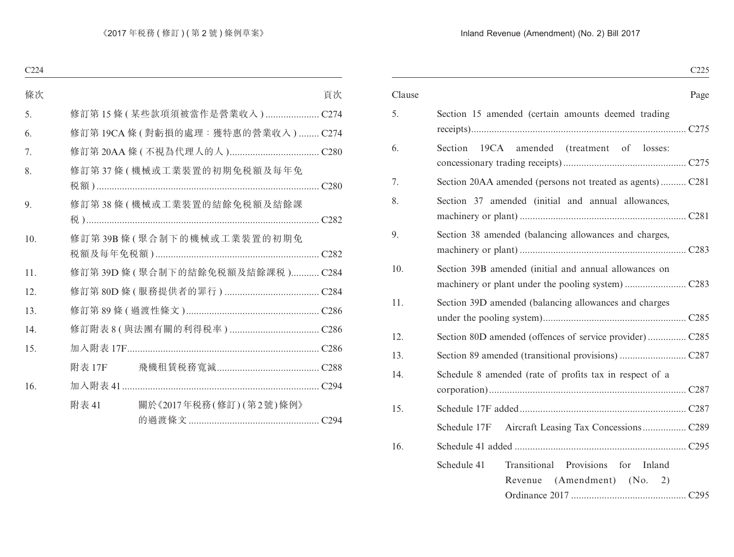#### Inland Revenue (Amendment) (No. 2) Bill 2017

|        |                                                                                  | C <sub>225</sub> |
|--------|----------------------------------------------------------------------------------|------------------|
| Clause |                                                                                  | Page             |
| 5.     | Section 15 amended (certain amounts deemed trading                               |                  |
| 6.     | Section 19CA amended (treatment of losses:                                       |                  |
| 7.     | Section 20AA amended (persons not treated as agents) C281                        |                  |
| 8.     | Section 37 amended (initial and annual allowances,                               |                  |
| 9.     | Section 38 amended (balancing allowances and charges,                            |                  |
| 10.    | Section 39B amended (initial and annual allowances on                            |                  |
| 11.    | Section 39D amended (balancing allowances and charges                            |                  |
| 12.    |                                                                                  |                  |
| 13.    |                                                                                  |                  |
| 14.    | Schedule 8 amended (rate of profits tax in respect of a                          |                  |
| 15.    |                                                                                  |                  |
|        | Schedule 17F                                                                     |                  |
| 16.    |                                                                                  |                  |
|        | Transitional Provisions for Inland<br>Schedule 41<br>Revenue (Amendment) (No. 2) |                  |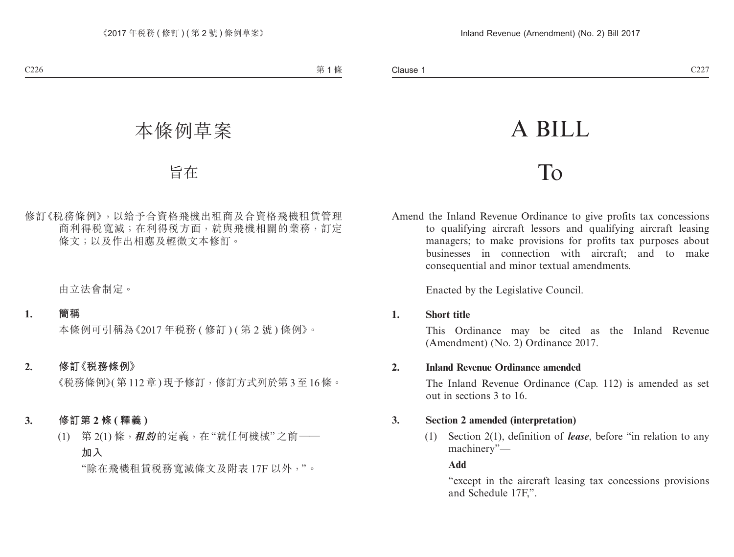# A BILL

## To

Amend the Inland Revenue Ordinance to give profits tax concessions to qualifying aircraft lessors and qualifying aircraft leasing managers; to make provisions for profits tax purposes about businesses in connection with aircraft; and to make consequential and minor textual amendments.

Enacted by the Legislative Council.

#### **1. Short title**

This Ordinance may be cited as the Inland Revenue (Amendment) (No. 2) Ordinance 2017.

#### **2. Inland Revenue Ordinance amended**

The Inland Revenue Ordinance (Cap. 112) is amended as set out in sections 3 to 16.

#### **3. Section 2 amended (interpretation)**

(1) Section 2(1), definition of *lease*, before "in relation to any machinery"—

**Add**

"except in the aircraft leasing tax concessions provisions and Schedule 17F,".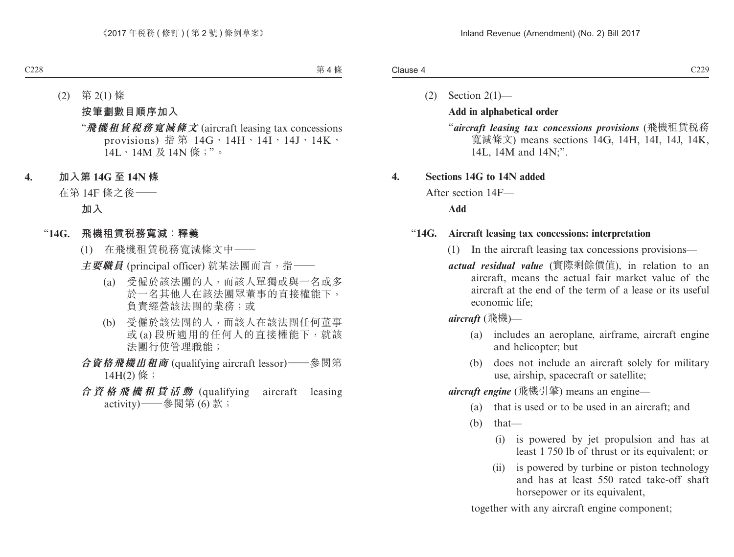$(2)$  Section  $2(1)$ —

#### **Add in alphabetical order**

"*aircraft leasing tax concessions provisions* (飛機租賃稅務 寬減條文) means sections 14G, 14H, 14I, 14J, 14K, 14L, 14M and 14N;".

#### **4. Sections 14G to 14N added**

After section 14F—

**Add**

#### "**14G. Aircraft leasing tax concessions: interpretation**

- (1) In the aircraft leasing tax concessions provisions—
- *actual residual value* (實際剩餘價值), in relation to an aircraft, means the actual fair market value of the aircraft at the end of the term of a lease or its useful economic life;

*aircraft* (飛機)—

- (a) includes an aeroplane, airframe, aircraft engine and helicopter; but
- (b) does not include an aircraft solely for military use, airship, spacecraft or satellite;

*aircraft engine* (飛機引擎) means an engine—

- (a) that is used or to be used in an aircraft; and
- (b) that—
	- (i) is powered by jet propulsion and has at least 1 750 lb of thrust or its equivalent; or
	- (ii) is powered by turbine or piston technology and has at least 550 rated take-off shaft horsepower or its equivalent,

together with any aircraft engine component;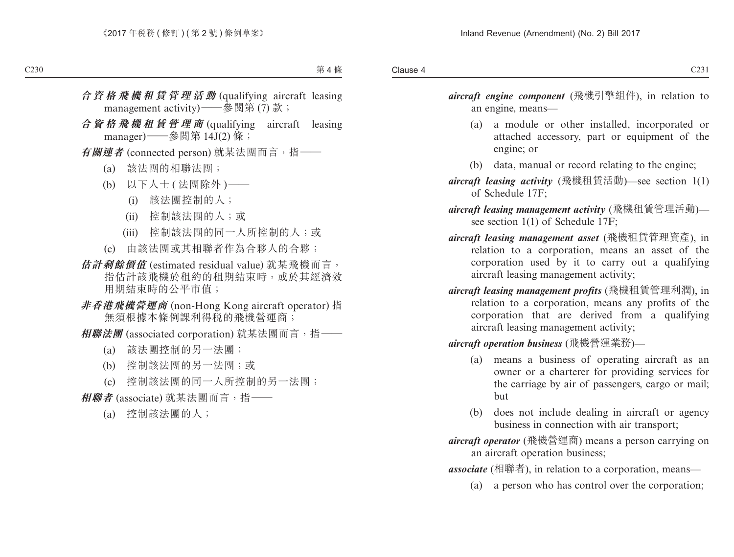- *aircraft engine component* (飛機引擎組件), in relation to an engine, means—
	- (a) a module or other installed, incorporated or attached accessory, part or equipment of the engine; or
	- (b) data, manual or record relating to the engine;
- *aircraft leasing activity* (飛機租賃活動)—see section 1(1) of Schedule 17F;
- *aircraft leasing management activity* (飛機租賃管理活動) see section 1(1) of Schedule 17F;
- *aircraft leasing management asset* (飛機租賃管理資產), in relation to a corporation, means an asset of the corporation used by it to carry out a qualifying aircraft leasing management activity;
- *aircraft leasing management profits* (飛機租賃管理利潤), in relation to a corporation, means any profits of the corporation that are derived from a qualifying aircraft leasing management activity;

*aircraft operation business* (飛機營運業務)—

- (a) means a business of operating aircraft as an owner or a charterer for providing services for the carriage by air of passengers, cargo or mail; but
- (b) does not include dealing in aircraft or agency business in connection with air transport;
- *aircraft operator* (飛機營運商) means a person carrying on an aircraft operation business;

*associate* (相聯者), in relation to a corporation, means—

(a) a person who has control over the corporation;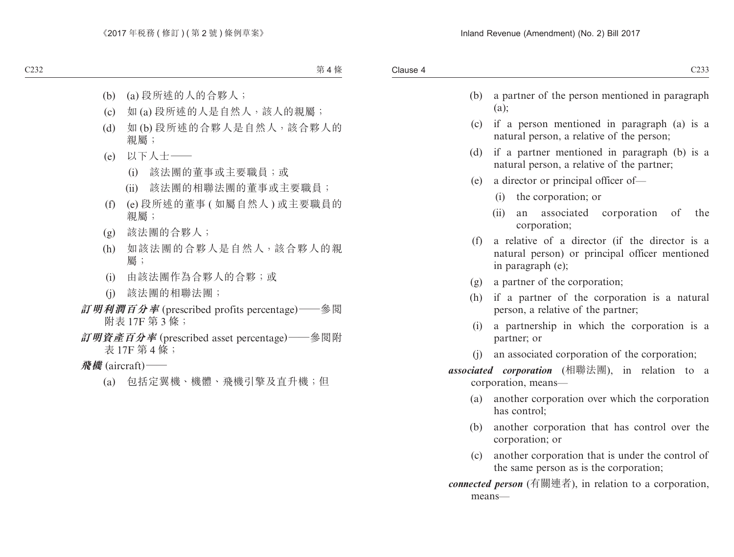- (b) a partner of the person mentioned in paragraph (a);
- (c) if a person mentioned in paragraph (a) is a natural person, a relative of the person;
- (d) if a partner mentioned in paragraph (b) is a natural person, a relative of the partner;
- (e) a director or principal officer of—
	- (i) the corporation; or
	- (ii) an associated corporation of the corporation;
- (f) a relative of a director (if the director is a natural person) or principal officer mentioned in paragraph (e);
- (g) a partner of the corporation;
- (h) if a partner of the corporation is a natural person, a relative of the partner;
- (i) a partnership in which the corporation is a partner; or
- (j) an associated corporation of the corporation;
- *associated corporation* (相聯法團), in relation to a corporation, means—
	- (a) another corporation over which the corporation has control;
	- (b) another corporation that has control over the corporation; or
	- (c) another corporation that is under the control of the same person as is the corporation;

*connected person* (有關連者), in relation to a corporation, means—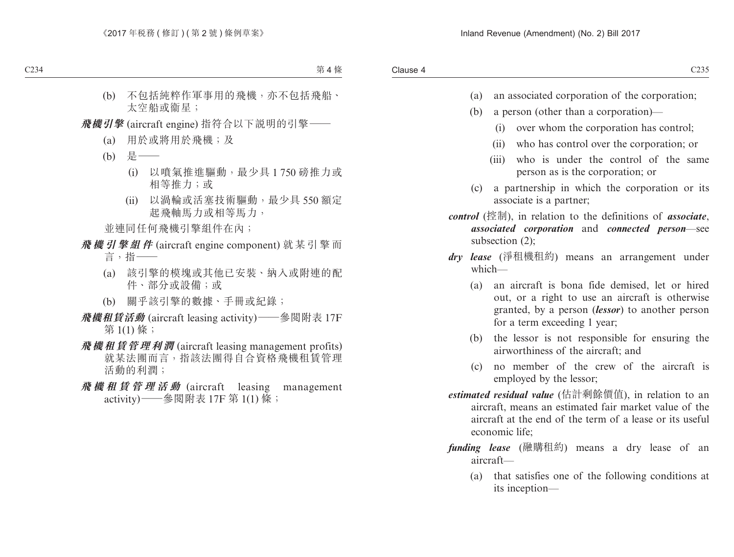- (a) an associated corporation of the corporation;
- (b) a person (other than a corporation)—
	- (i) over whom the corporation has control;
	- (ii) who has control over the corporation; or
	- (iii) who is under the control of the same person as is the corporation; or
- (c) a partnership in which the corporation or its associate is a partner;
- *control* (控制), in relation to the definitions of *associate*, *associated corporation* and *connected person*—see subsection (2);
- *dry lease* (淨租機租約) means an arrangement under which—
	- (a) an aircraft is bona fide demised, let or hired out, or a right to use an aircraft is otherwise granted, by a person (*lessor*) to another person for a term exceeding 1 year;
	- (b) the lessor is not responsible for ensuring the airworthiness of the aircraft; and
	- (c) no member of the crew of the aircraft is employed by the lessor;
- *estimated residual value* (估計剩餘價值), in relation to an aircraft, means an estimated fair market value of the aircraft at the end of the term of a lease or its useful economic life;
- *funding lease* (融購租約) means a dry lease of an aircraft—
	- (a) that satisfies one of the following conditions at its inception—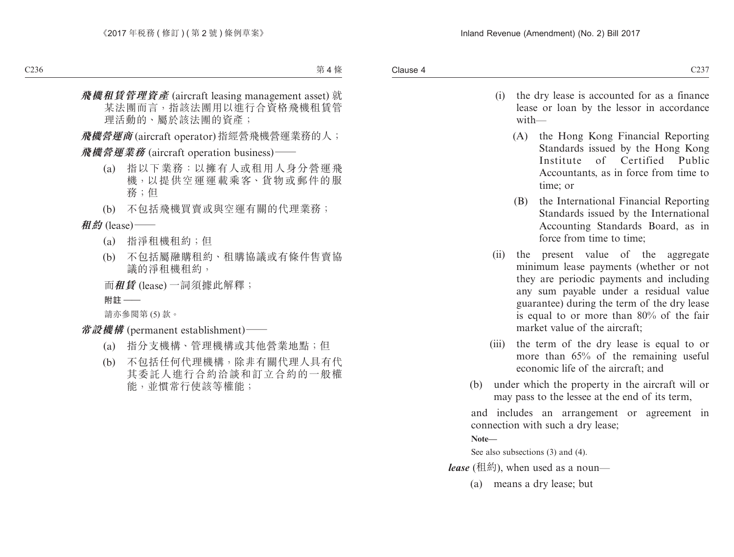with—

- (i) the dry lease is accounted for as a finance lease or loan by the lessor in accordance
	- (A) the Hong Kong Financial Reporting Standards issued by the Hong Kong Institute of Certified Public Accountants, as in force from time to time; or
	- (B) the International Financial Reporting Standards issued by the International Accounting Standards Board, as in force from time to time;
- (ii) the present value of the aggregate minimum lease payments (whether or not they are periodic payments and including any sum payable under a residual value guarantee) during the term of the dry lease is equal to or more than 80% of the fair market value of the aircraft;
- (iii) the term of the dry lease is equal to or more than 65% of the remaining useful economic life of the aircraft; and
- (b) under which the property in the aircraft will or may pass to the lessee at the end of its term,

and includes an arrangement or agreement in connection with such a dry lease;

**Note—**

See also subsections (3) and (4).

*lease* (租約), when used as a noun—

(a) means a dry lease; but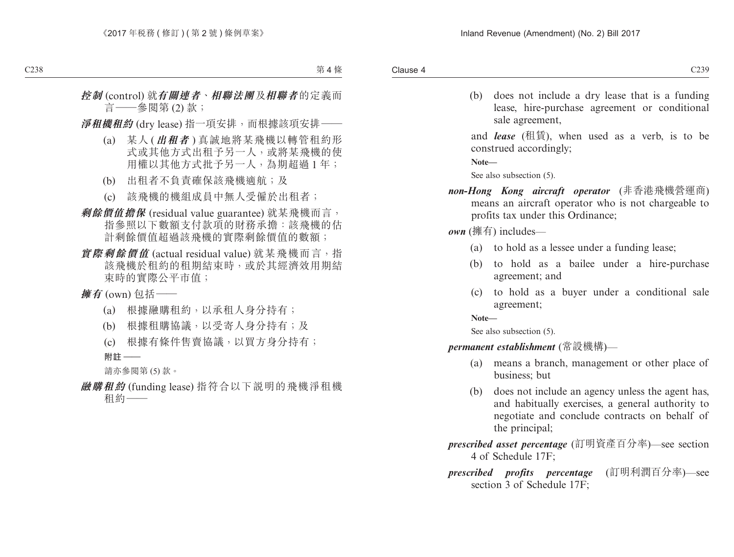(b) does not include a dry lease that is a funding lease, hire-purchase agreement or conditional sale agreement,

and *lease* (租賃), when used as a verb, is to be construed accordingly;

**Note—**

See also subsection  $(5)$ .

- *non-Hong Kong aircraft operator* (非香港飛機營運商) means an aircraft operator who is not chargeable to profits tax under this Ordinance;
- *own* (擁有) includes—
	- (a) to hold as a lessee under a funding lease;
	- (b) to hold as a bailee under a hire-purchase agreement; and
	- (c) to hold as a buyer under a conditional sale agreement;

**Note—**

See also subsection (5).

#### *permanent establishment* (常設機構)—

- (a) means a branch, management or other place of business; but
- (b) does not include an agency unless the agent has, and habitually exercises, a general authority to negotiate and conclude contracts on behalf of the principal;

*prescribed asset percentage* (訂明資產百分率)—see section 4 of Schedule 17F;

*prescribed profits percentage* (訂明利潤百分率)—see section 3 of Schedule 17F;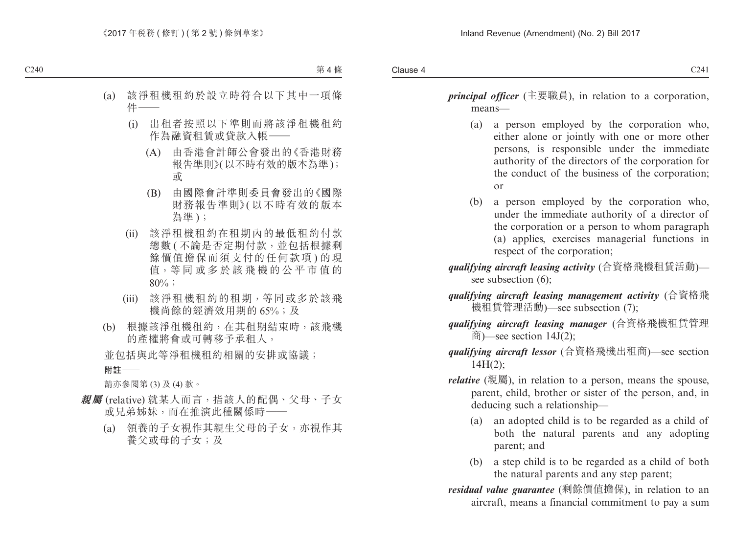*principal officer* (主要職員), in relation to a corporation, means—

- (a) a person employed by the corporation who, either alone or jointly with one or more other persons, is responsible under the immediate authority of the directors of the corporation for the conduct of the business of the corporation; or
- (b) a person employed by the corporation who, under the immediate authority of a director of the corporation or a person to whom paragraph (a) applies, exercises managerial functions in respect of the corporation;

*qualifying aircraft leasing activity* (合資格飛機租賃活動) see subsection (6);

- *qualifying aircraft leasing management activity* (合資格飛 機租賃管理活動)—see subsection (7);
- *qualifying aircraft leasing manager* (合資格飛機租賃管理 商)—see section  $14J(2)$ :
- *qualifying aircraft lessor* (合資格飛機出租商)—see section 14H(2);
- *relative* (親屬), in relation to a person, means the spouse, parent, child, brother or sister of the person, and, in deducing such a relationship—
	- (a) an adopted child is to be regarded as a child of both the natural parents and any adopting parent; and
	- (b) a step child is to be regarded as a child of both the natural parents and any step parent;
- *residual value guarantee* (剩餘價值擔保), in relation to an aircraft, means a financial commitment to pay a sum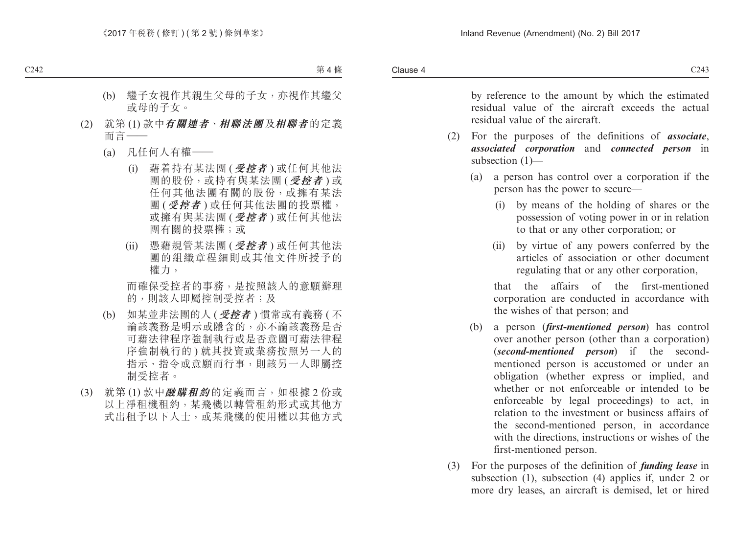by reference to the amount by which the estimated residual value of the aircraft exceeds the actual residual value of the aircraft.

- (2) For the purposes of the definitions of *associate*, *associated corporation* and *connected person* in subsection (1)—
	- (a) a person has control over a corporation if the person has the power to secure—
		- (i) by means of the holding of shares or the possession of voting power in or in relation to that or any other corporation; or
		- (ii) by virtue of any powers conferred by the articles of association or other document regulating that or any other corporation,

that the affairs of the first-mentioned corporation are conducted in accordance with the wishes of that person; and

- (b) a person (*first-mentioned person*) has control over another person (other than a corporation) (*second-mentioned person*) if the secondmentioned person is accustomed or under an obligation (whether express or implied, and whether or not enforceable or intended to be enforceable by legal proceedings) to act, in relation to the investment or business affairs of the second-mentioned person, in accordance with the directions, instructions or wishes of the first-mentioned person.
- (3) For the purposes of the definition of *funding lease* in subsection (1), subsection (4) applies if, under 2 or more dry leases, an aircraft is demised, let or hired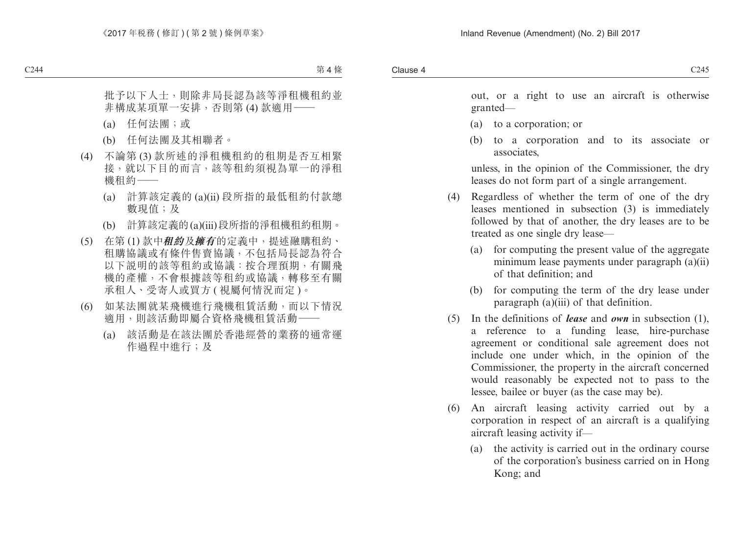out, or a right to use an aircraft is otherwise granted—

- (a) to a corporation; or
- (b) to a corporation and to its associate or associates,

unless, in the opinion of the Commissioner, the dry leases do not form part of a single arrangement.

- (4) Regardless of whether the term of one of the dry leases mentioned in subsection (3) is immediately followed by that of another, the dry leases are to be treated as one single dry lease—
	- (a) for computing the present value of the aggregate minimum lease payments under paragraph (a)(ii) of that definition; and
	- (b) for computing the term of the dry lease under paragraph (a)(iii) of that definition.
- (5) In the definitions of *lease* and *own* in subsection (1), a reference to a funding lease, hire-purchase agreement or conditional sale agreement does not include one under which, in the opinion of the Commissioner, the property in the aircraft concerned would reasonably be expected not to pass to the lessee, bailee or buyer (as the case may be).
- (6) An aircraft leasing activity carried out by a corporation in respect of an aircraft is a qualifying aircraft leasing activity if—
	- (a) the activity is carried out in the ordinary course of the corporation's business carried on in Hong Kong; and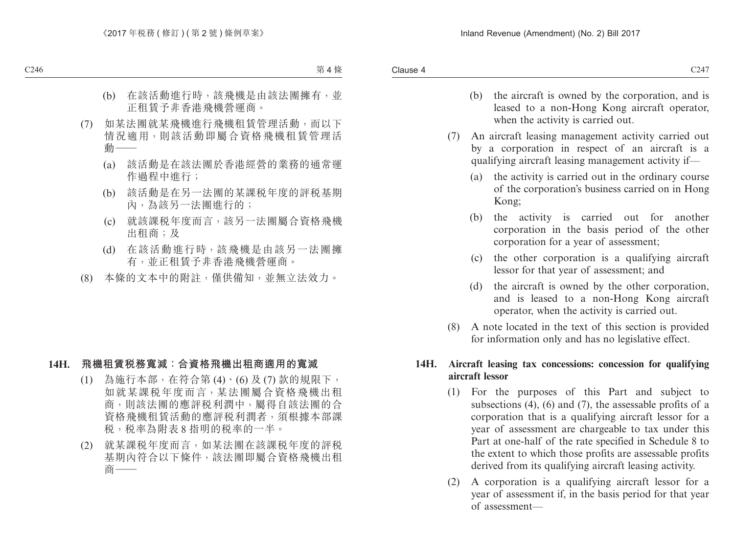- (b) the aircraft is owned by the corporation, and is leased to a non-Hong Kong aircraft operator, when the activity is carried out.
- (7) An aircraft leasing management activity carried out by a corporation in respect of an aircraft is a qualifying aircraft leasing management activity if—
	- (a) the activity is carried out in the ordinary course of the corporation's business carried on in Hong Kong;
	- (b) the activity is carried out for another corporation in the basis period of the other corporation for a year of assessment;
	- (c) the other corporation is a qualifying aircraft lessor for that year of assessment; and
	- (d) the aircraft is owned by the other corporation, and is leased to a non-Hong Kong aircraft operator, when the activity is carried out.
- (8) A note located in the text of this section is provided for information only and has no legislative effect.

#### **14H. Aircraft leasing tax concessions: concession for qualifying aircraft lessor**

- (1) For the purposes of this Part and subject to subsections (4), (6) and (7), the assessable profits of a corporation that is a qualifying aircraft lessor for a year of assessment are chargeable to tax under this Part at one-half of the rate specified in Schedule 8 to the extent to which those profits are assessable profits derived from its qualifying aircraft leasing activity.
- (2) A corporation is a qualifying aircraft lessor for a year of assessment if, in the basis period for that year of assessment—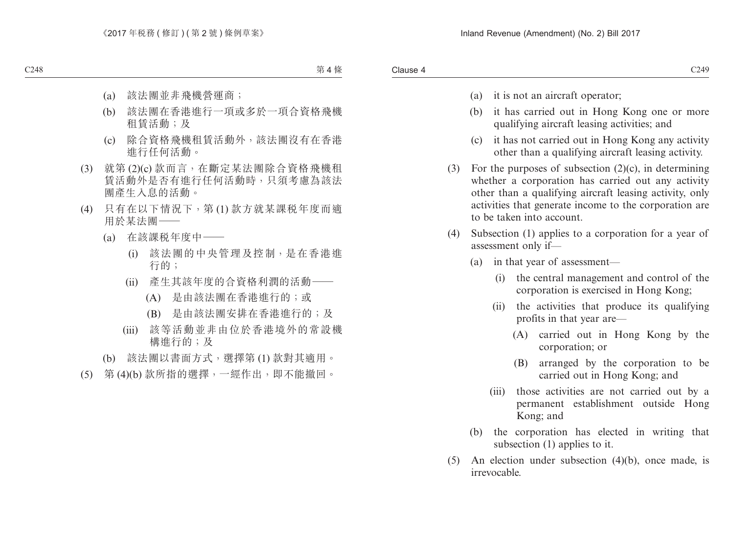- (a) it is not an aircraft operator;
- (b) it has carried out in Hong Kong one or more qualifying aircraft leasing activities; and
- (c) it has not carried out in Hong Kong any activity other than a qualifying aircraft leasing activity.
- (3) For the purposes of subsection  $(2)(c)$ , in determining whether a corporation has carried out any activity other than a qualifying aircraft leasing activity, only activities that generate income to the corporation are to be taken into account.
- (4) Subsection (1) applies to a corporation for a year of assessment only if—
	- (a) in that year of assessment—
		- (i) the central management and control of the corporation is exercised in Hong Kong;
		- (ii) the activities that produce its qualifying profits in that year are—
			- (A) carried out in Hong Kong by the corporation; or
			- (B) arranged by the corporation to be carried out in Hong Kong; and
		- (iii) those activities are not carried out by a permanent establishment outside Hong Kong; and
	- (b) the corporation has elected in writing that subsection (1) applies to it.
- (5) An election under subsection (4)(b), once made, is irrevocable.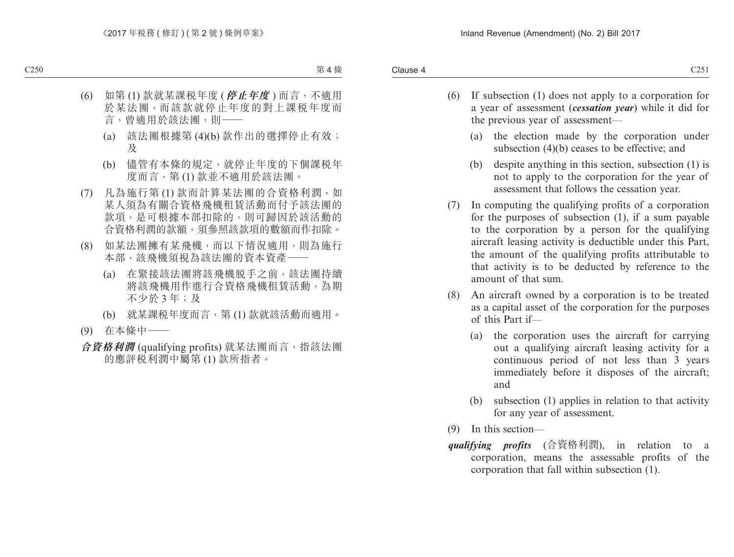- (6) If subsection (1) does not apply to a corporation for a year of assessment (*cessation year*) while it did for the previous year of assessment—
	- (a) the election made by the corporation under subsection (4)(b) ceases to be effective; and
	- (b) despite anything in this section, subsection (1) is not to apply to the corporation for the year of assessment that follows the cessation year.
- (7) In computing the qualifying profits of a corporation for the purposes of subsection (1), if a sum payable to the corporation by a person for the qualifying aircraft leasing activity is deductible under this Part, the amount of the qualifying profits attributable to that activity is to be deducted by reference to the amount of that sum.
- (8) An aircraft owned by a corporation is to be treated as a capital asset of the corporation for the purposes of this Part if—
	- (a) the corporation uses the aircraft for carrying out a qualifying aircraft leasing activity for a continuous period of not less than 3 years immediately before it disposes of the aircraft; and
	- (b) subsection (1) applies in relation to that activity for any year of assessment.
- (9) In this section—
- *qualifying profits* (合資格利潤), in relation to a corporation, means the assessable profits of the corporation that fall within subsection (1).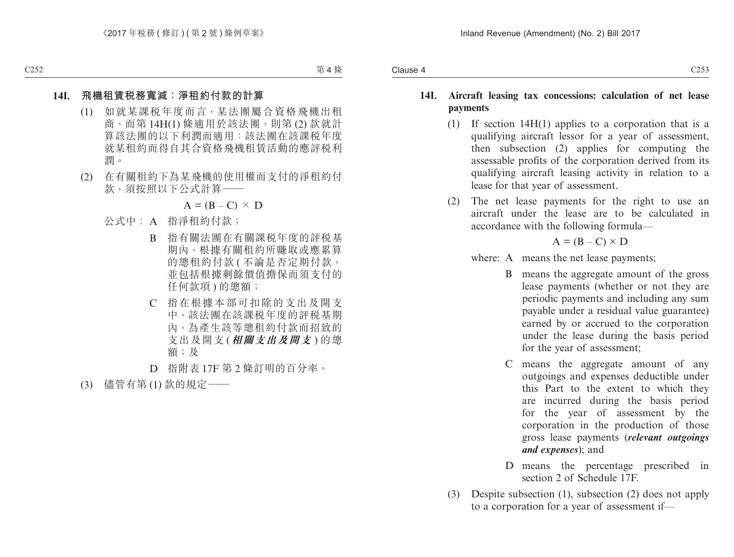#### **14I. Aircraft leasing tax concessions: calculation of net lease payments**

- (1) If section 14H(1) applies to a corporation that is a qualifying aircraft lessor for a year of assessment, then subsection (2) applies for computing the assessable profits of the corporation derived from its qualifying aircraft leasing activity in relation to a lease for that year of assessment.
- (2) The net lease payments for the right to use an aircraft under the lease are to be calculated in accordance with the following formula—

$$
A = (B - C) \times D
$$

- where: A means the net lease payments;
	- B means the aggregate amount of the gross lease payments (whether or not they are periodic payments and including any sum payable under a residual value guarantee) earned by or accrued to the corporation under the lease during the basis period for the year of assessment;
	- C means the aggregate amount of any outgoings and expenses deductible under this Part to the extent to which they are incurred during the basis period for the year of assessment by the corporation in the production of those gross lease payments (*relevant outgoings and expenses*); and
	- D means the percentage prescribed in section 2 of Schedule 17F.
- (3) Despite subsection (1), subsection (2) does not apply to a corporation for a year of assessment if—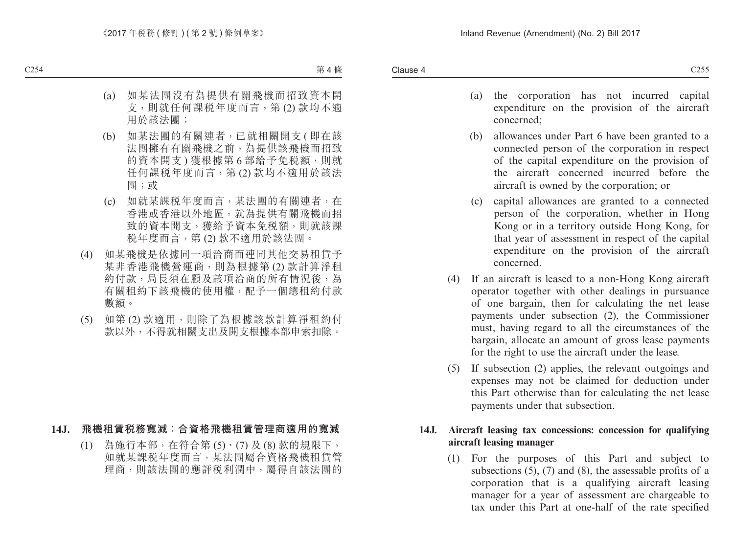- (a) the corporation has not incurred capital expenditure on the provision of the aircraft concerned;
- (b) allowances under Part 6 have been granted to a connected person of the corporation in respect of the capital expenditure on the provision of the aircraft concerned incurred before the aircraft is owned by the corporation; or
- (c) capital allowances are granted to a connected person of the corporation, whether in Hong Kong or in a territory outside Hong Kong, for that year of assessment in respect of the capital expenditure on the provision of the aircraft concerned.
- (4) If an aircraft is leased to a non-Hong Kong aircraft operator together with other dealings in pursuance of one bargain, then for calculating the net lease payments under subsection (2), the Commissioner must, having regard to all the circumstances of the bargain, allocate an amount of gross lease payments for the right to use the aircraft under the lease.
- (5) If subsection (2) applies, the relevant outgoings and expenses may not be claimed for deduction under this Part otherwise than for calculating the net lease payments under that subsection.

#### **14J. Aircraft leasing tax concessions: concession for qualifying aircraft leasing manager**

(1) For the purposes of this Part and subject to subsections (5), (7) and (8), the assessable profits of a corporation that is a qualifying aircraft leasing manager for a year of assessment are chargeable to tax under this Part at one-half of the rate specified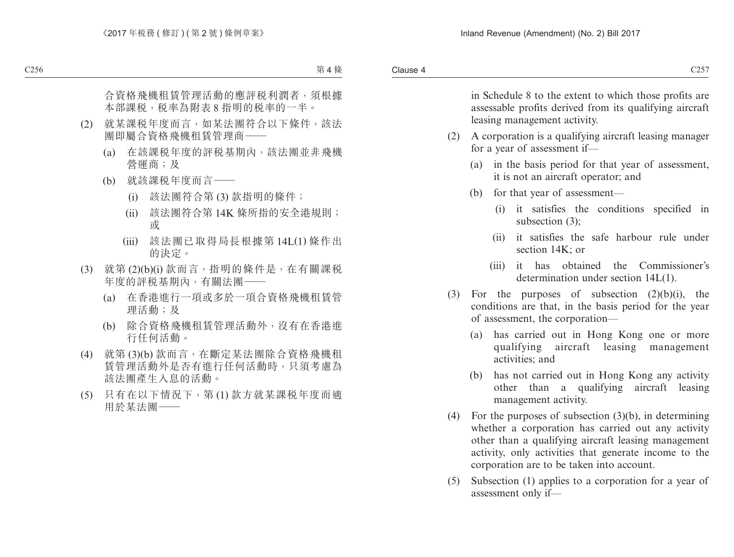in Schedule 8 to the extent to which those profits are assessable profits derived from its qualifying aircraft leasing management activity.

- (2) A corporation is a qualifying aircraft leasing manager for a year of assessment if—
	- (a) in the basis period for that year of assessment, it is not an aircraft operator; and
	- (b) for that year of assessment—
		- (i) it satisfies the conditions specified in subsection (3);
		- (ii) it satisfies the safe harbour rule under section 14K; or
		- (iii) it has obtained the Commissioner's determination under section 14L(1).
- (3) For the purposes of subsection  $(2)(b)(i)$ , the conditions are that, in the basis period for the year of assessment, the corporation—
	- (a) has carried out in Hong Kong one or more qualifying aircraft leasing management activities; and
	- (b) has not carried out in Hong Kong any activity other than a qualifying aircraft leasing management activity.
- (4) For the purposes of subsection  $(3)(b)$ , in determining whether a corporation has carried out any activity other than a qualifying aircraft leasing management activity, only activities that generate income to the corporation are to be taken into account.
- (5) Subsection (1) applies to a corporation for a year of assessment only if—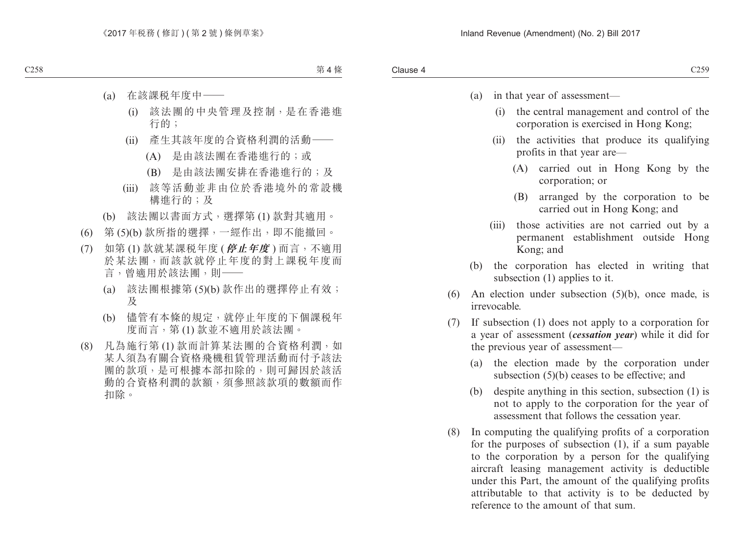- (a) in that year of assessment—
	- (i) the central management and control of the corporation is exercised in Hong Kong;
	- (ii) the activities that produce its qualifying profits in that year are—
		- (A) carried out in Hong Kong by the corporation; or
		- (B) arranged by the corporation to be carried out in Hong Kong; and
	- (iii) those activities are not carried out by a permanent establishment outside Hong Kong; and
- (b) the corporation has elected in writing that subsection (1) applies to it.
- (6) An election under subsection (5)(b), once made, is irrevocable.
- (7) If subsection (1) does not apply to a corporation for a year of assessment (*cessation year*) while it did for the previous year of assessment—
	- (a) the election made by the corporation under subsection (5)(b) ceases to be effective; and
	- (b) despite anything in this section, subsection (1) is not to apply to the corporation for the year of assessment that follows the cessation year.
- (8) In computing the qualifying profits of a corporation for the purposes of subsection (1), if a sum payable to the corporation by a person for the qualifying aircraft leasing management activity is deductible under this Part, the amount of the qualifying profits attributable to that activity is to be deducted by reference to the amount of that sum.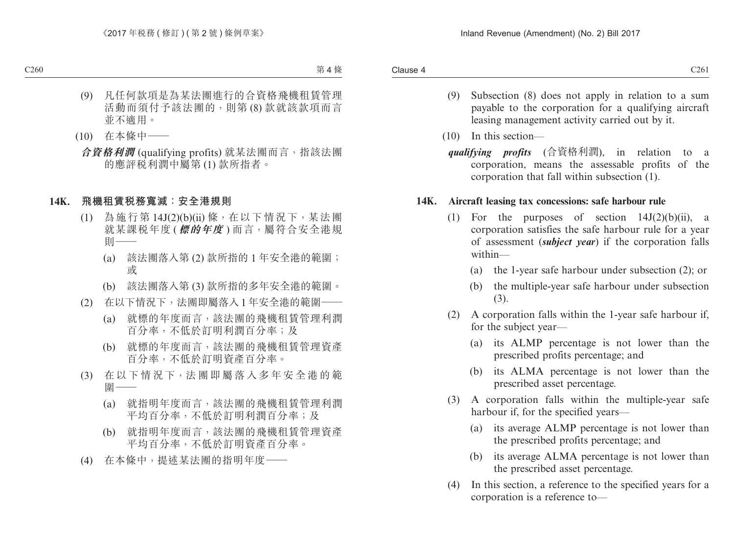- (9) Subsection (8) does not apply in relation to a sum payable to the corporation for a qualifying aircraft leasing management activity carried out by it.
- (10) In this section
	- *qualifying profits* (合資格利潤), in relation to a corporation, means the assessable profits of the corporation that fall within subsection (1).

#### **14K. Aircraft leasing tax concessions: safe harbour rule**

- (1) For the purposes of section  $14J(2)(b)(ii)$ , a corporation satisfies the safe harbour rule for a year of assessment (*subject year*) if the corporation falls within—
	- (a) the 1-year safe harbour under subsection (2); or
	- (b) the multiple-year safe harbour under subsection (3).
- (2) A corporation falls within the 1-year safe harbour if, for the subject year—
	- (a) its ALMP percentage is not lower than the prescribed profits percentage; and
	- (b) its ALMA percentage is not lower than the prescribed asset percentage.
- (3) A corporation falls within the multiple-year safe harbour if, for the specified years—
	- (a) its average ALMP percentage is not lower than the prescribed profits percentage; and
	- (b) its average ALMA percentage is not lower than the prescribed asset percentage.
- (4) In this section, a reference to the specified years for a corporation is a reference to—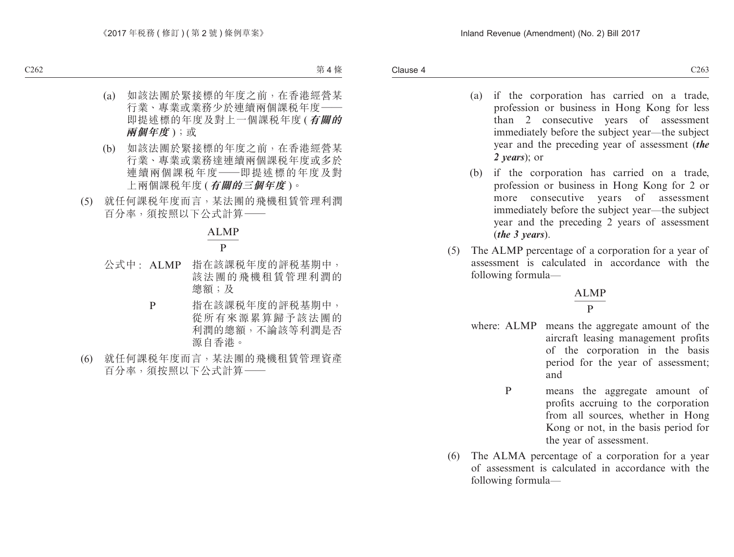Clause 4 Clause 4 C263

- (a) if the corporation has carried on a trade, profession or business in Hong Kong for less than 2 consecutive years of assessment immediately before the subject year—the subject year and the preceding year of assessment (*the 2 years*); or
- (b) if the corporation has carried on a trade, profession or business in Hong Kong for 2 or more consecutive years of assessment immediately before the subject year—the subject year and the preceding 2 years of assessment (*the 3 years*).
- (5) The ALMP percentage of a corporation for a year of assessment is calculated in accordance with the following formula—

#### ALMP

#### $\mathbf{p}$

- where: ALMP means the aggregate amount of the aircraft leasing management profits of the corporation in the basis period for the year of assessment; and
	- P means the aggregate amount of profits accruing to the corporation from all sources, whether in Hong Kong or not, in the basis period for the year of assessment.
- (6) The ALMA percentage of a corporation for a year of assessment is calculated in accordance with the following formula—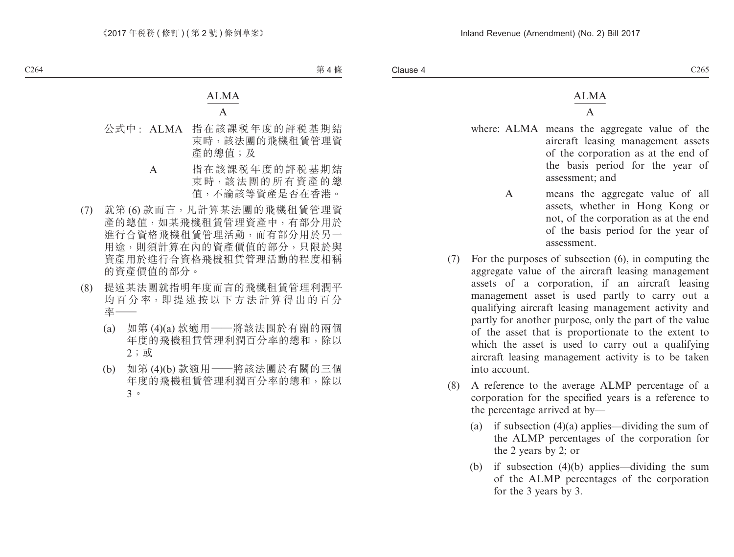## ALMA  $\overline{A}$

- where: ALMA means the aggregate value of the aircraft leasing management assets of the corporation as at the end of the basis period for the year of assessment; and
	- A means the aggregate value of all assets, whether in Hong Kong or not, of the corporation as at the end of the basis period for the year of assessment.
- (7) For the purposes of subsection (6), in computing the aggregate value of the aircraft leasing management assets of a corporation, if an aircraft leasing management asset is used partly to carry out a qualifying aircraft leasing management activity and partly for another purpose, only the part of the value of the asset that is proportionate to the extent to which the asset is used to carry out a qualifying aircraft leasing management activity is to be taken into account.
- (8) A reference to the average ALMP percentage of a corporation for the specified years is a reference to the percentage arrived at by—
	- (a) if subsection  $(4)(a)$  applies—dividing the sum of the ALMP percentages of the corporation for the 2 years by 2; or
	- (b) if subsection (4)(b) applies—dividing the sum of the ALMP percentages of the corporation for the 3 years by 3.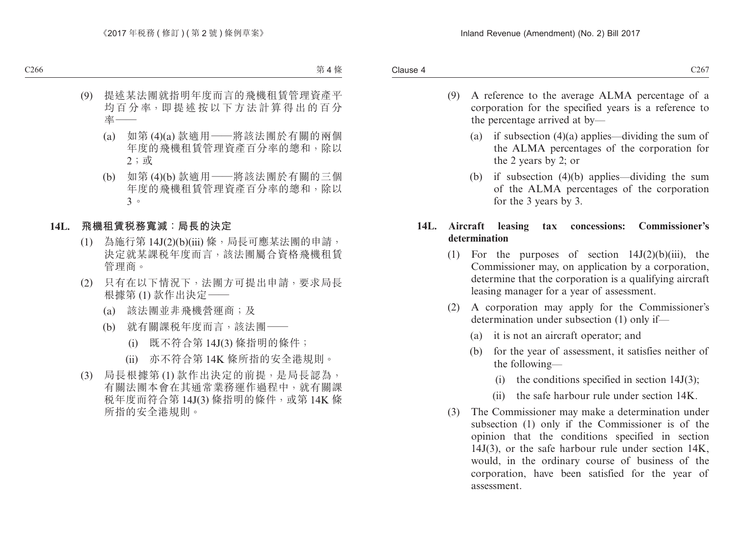- (9) A reference to the average ALMA percentage of a corporation for the specified years is a reference to the percentage arrived at by—
	- (a) if subsection (4)(a) applies—dividing the sum of the ALMA percentages of the corporation for the 2 years by 2; or
	- (b) if subsection (4)(b) applies—dividing the sum of the ALMA percentages of the corporation for the 3 years by 3.

#### **14L. Aircraft leasing tax concessions: Commissioner's determination**

- (1) For the purposes of section  $14J(2)(b)(iii)$ , the Commissioner may, on application by a corporation, determine that the corporation is a qualifying aircraft leasing manager for a year of assessment.
- (2) A corporation may apply for the Commissioner's determination under subsection (1) only if—
	- (a) it is not an aircraft operator; and
	- (b) for the year of assessment, it satisfies neither of the following—
		- (i) the conditions specified in section  $14J(3)$ ;
		- (ii) the safe harbour rule under section 14K.
- (3) The Commissioner may make a determination under subsection (1) only if the Commissioner is of the opinion that the conditions specified in section 14J(3), or the safe harbour rule under section 14K, would, in the ordinary course of business of the corporation, have been satisfied for the year of assessment.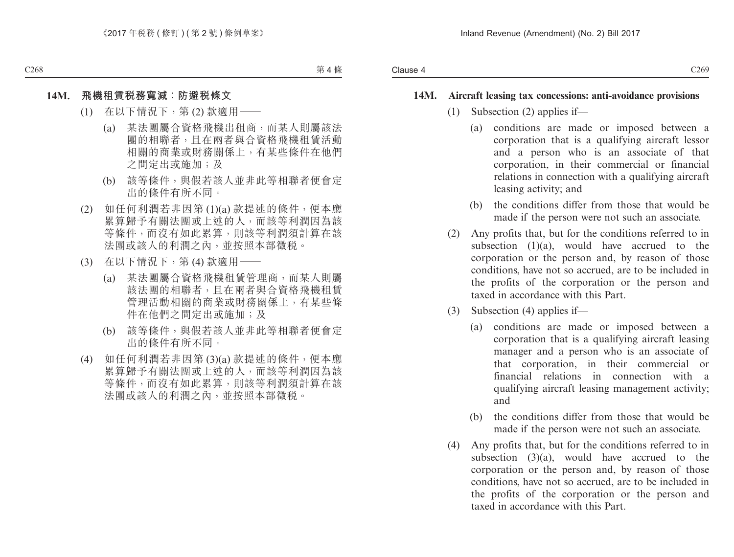#### **14M. Aircraft leasing tax concessions: anti-avoidance provisions**

- (1) Subsection (2) applies if—
	- (a) conditions are made or imposed between a corporation that is a qualifying aircraft lessor and a person who is an associate of that corporation, in their commercial or financial relations in connection with a qualifying aircraft leasing activity; and
	- (b) the conditions differ from those that would be made if the person were not such an associate.
- (2) Any profits that, but for the conditions referred to in subsection  $(1)(a)$ , would have accrued to the corporation or the person and, by reason of those conditions, have not so accrued, are to be included in the profits of the corporation or the person and taxed in accordance with this Part.
- (3) Subsection (4) applies if—
	- (a) conditions are made or imposed between a corporation that is a qualifying aircraft leasing manager and a person who is an associate of that corporation, in their commercial or financial relations in connection with a qualifying aircraft leasing management activity; and
	- (b) the conditions differ from those that would be made if the person were not such an associate.
- (4) Any profits that, but for the conditions referred to in subsection (3)(a), would have accrued to the corporation or the person and, by reason of those conditions, have not so accrued, are to be included in the profits of the corporation or the person and taxed in accordance with this Part.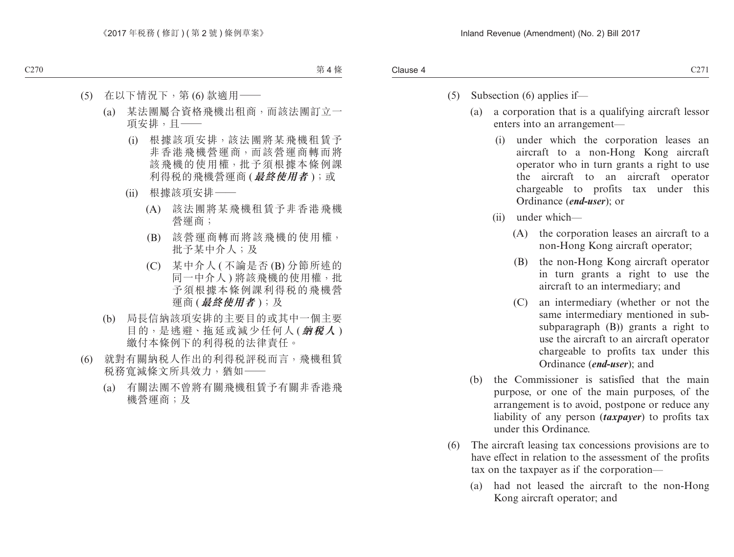- (5) Subsection (6) applies if—
	- (a) a corporation that is a qualifying aircraft lessor enters into an arrangement—
		- (i) under which the corporation leases an aircraft to a non-Hong Kong aircraft operator who in turn grants a right to use the aircraft to an aircraft operator chargeable to profits tax under this Ordinance (*end-user*); or
		- (ii) under which—
			- (A) the corporation leases an aircraft to a non-Hong Kong aircraft operator;
			- (B) the non-Hong Kong aircraft operator in turn grants a right to use the aircraft to an intermediary; and
			- (C) an intermediary (whether or not the same intermediary mentioned in subsubparagraph (B)) grants a right to use the aircraft to an aircraft operator chargeable to profits tax under this Ordinance (*end-user*); and
	- (b) the Commissioner is satisfied that the main purpose, or one of the main purposes, of the arrangement is to avoid, postpone or reduce any liability of any person (*taxpayer*) to profits tax under this Ordinance.
- (6) The aircraft leasing tax concessions provisions are to have effect in relation to the assessment of the profits tax on the taxpayer as if the corporation—
	- (a) had not leased the aircraft to the non-Hong Kong aircraft operator; and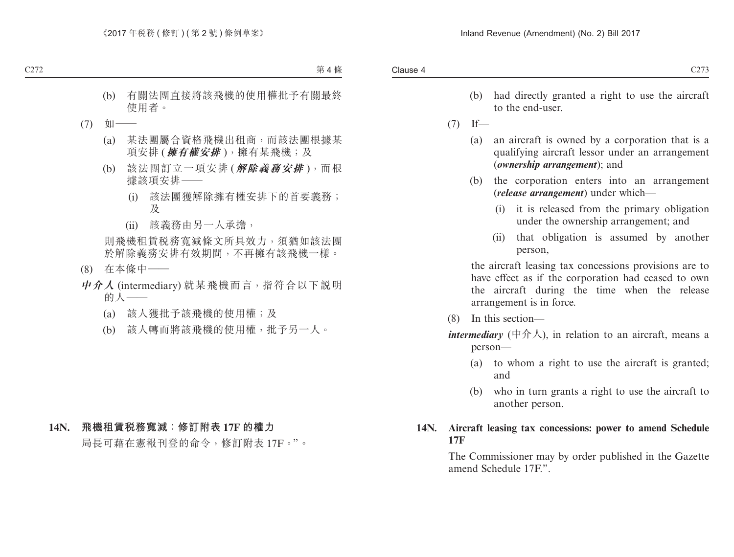- (b) had directly granted a right to use the aircraft to the end-user.
- $(7)$  If—
	- (a) an aircraft is owned by a corporation that is a qualifying aircraft lessor under an arrangement (*ownership arrangement*); and
	- (b) the corporation enters into an arrangement (*release arrangement*) under which—
		- (i) it is released from the primary obligation under the ownership arrangement; and
		- (ii) that obligation is assumed by another person,

the aircraft leasing tax concessions provisions are to have effect as if the corporation had ceased to own the aircraft during the time when the release arrangement is in force.

(8) In this section—

*intermediary* (中介人), in relation to an aircraft, means a person—

- (a) to whom a right to use the aircraft is granted; and
- (b) who in turn grants a right to use the aircraft to another person.

#### **14N. Aircraft leasing tax concessions: power to amend Schedule 17F**

The Commissioner may by order published in the Gazette amend Schedule 17F".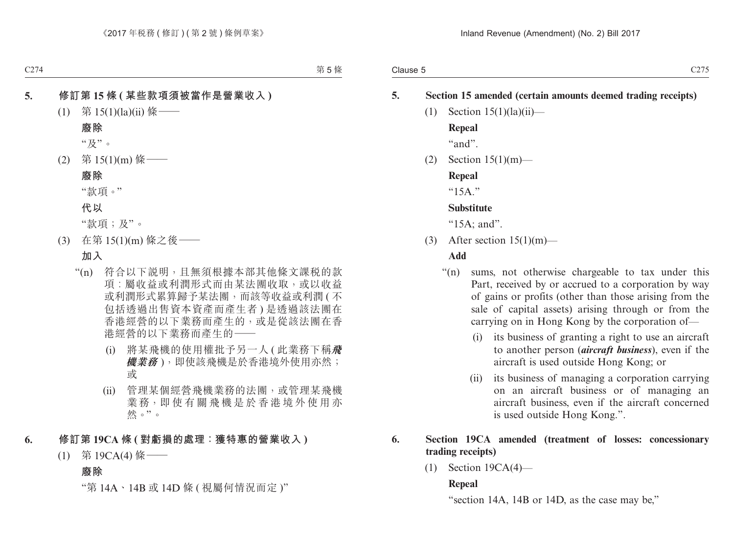#### **5. Section 15 amended (certain amounts deemed trading receipts)**

 $(1)$  Section  $15(1)(1a)(ii)$ — **Repeal**

"and".

(2) Section  $15(1)(m)$ —

**Repeal**

 $415A$ "

#### **Substitute**

"15A; and".

(3) After section  $15(1)(m)$ —

#### **Add**

- "(n) sums, not otherwise chargeable to tax under this Part, received by or accrued to a corporation by way of gains or profits (other than those arising from the sale of capital assets) arising through or from the carrying on in Hong Kong by the corporation of—
	- (i) its business of granting a right to use an aircraft to another person (*aircraft business*), even if the aircraft is used outside Hong Kong; or
	- (ii) its business of managing a corporation carrying on an aircraft business or of managing an aircraft business, even if the aircraft concerned is used outside Hong Kong.".
- **6. Section 19CA amended (treatment of losses: concessionary trading receipts)**
	- (1) Section 19CA(4)—

#### **Repeal**

"section 14A, 14B or 14D, as the case may be,"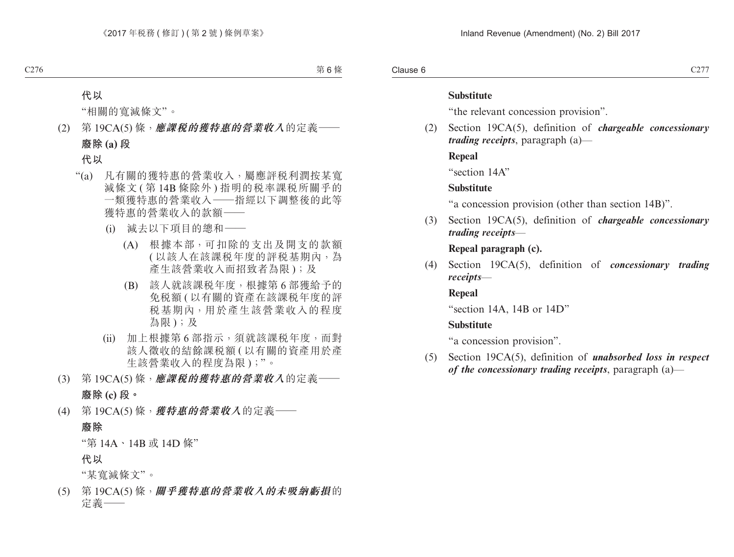#### **Substitute**

"the relevant concession provision".

(2) Section 19CA(5), definition of *chargeable concessionary trading receipts*, paragraph (a)—

#### **Repeal**

"section 14A"

#### **Substitute**

"a concession provision (other than section 14B)".

(3) Section 19CA(5), definition of *chargeable concessionary trading receipts*—

#### **Repeal paragraph (c).**

(4) Section 19CA(5), definition of *concessionary trading receipts*—

#### **Repeal**

"section 14A, 14B or 14D"

#### **Substitute**

"a concession provision".

(5) Section 19CA(5), definition of *unabsorbed loss in respect of the concessionary trading receipts*, paragraph (a)—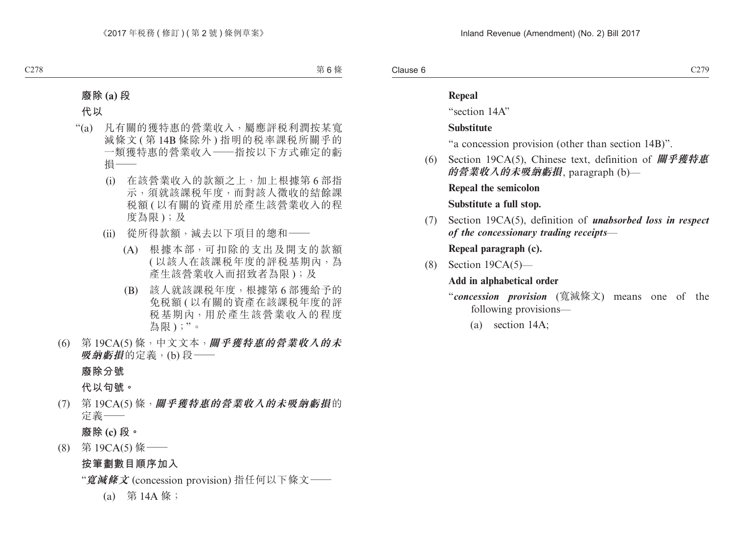#### **Repeal**

"section 14A"

#### **Substitute**

"a concession provision (other than section 14B)".

(6) Section 19CA(5), Chinese text, definition of **關乎獲特惠 的營業收入的未吸納虧損**, paragraph (b)—

#### **Repeal the semicolon**

#### **Substitute a full stop.**

(7) Section 19CA(5), definition of *unabsorbed loss in respect of the concessionary trading receipts*—

#### **Repeal paragraph (c).**

(8) Section 19CA(5)—

#### **Add in alphabetical order**

"*concession provision* (寬減條文) means one of the following provisions—

(a) section 14A;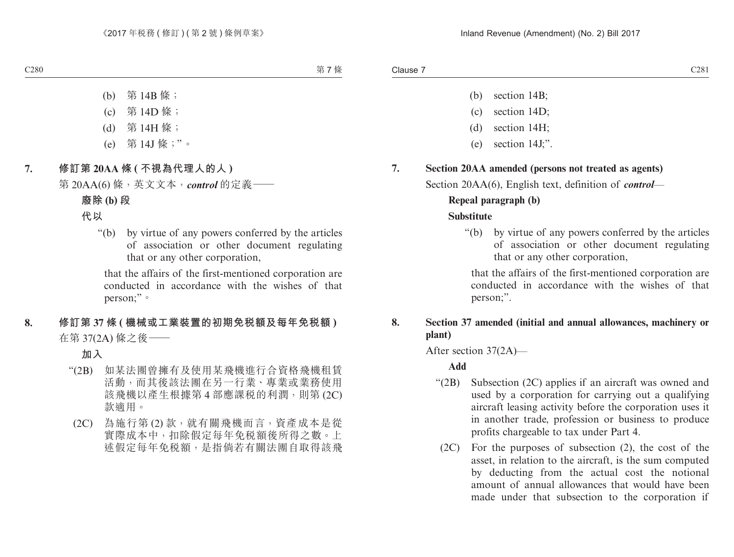- (b) section 14B;
- (c) section 14D;
- (d) section 14H;
- (e) section 14J;".

## **7. Section 20AA amended (persons not treated as agents)** Section 20AA(6), English text, definition of *control*—

#### **Repeal paragraph (b)**

#### **Substitute**

"(b) by virtue of any powers conferred by the articles of association or other document regulating that or any other corporation,

that the affairs of the first-mentioned corporation are conducted in accordance with the wishes of that person;".

#### **8. Section 37 amended (initial and annual allowances, machinery or plant)**

After section 37(2A)—

#### **Add**

- "(2B) Subsection (2C) applies if an aircraft was owned and used by a corporation for carrying out a qualifying aircraft leasing activity before the corporation uses it in another trade, profession or business to produce profits chargeable to tax under Part 4.
	- (2C) For the purposes of subsection (2), the cost of the asset, in relation to the aircraft, is the sum computed by deducting from the actual cost the notional amount of annual allowances that would have been made under that subsection to the corporation if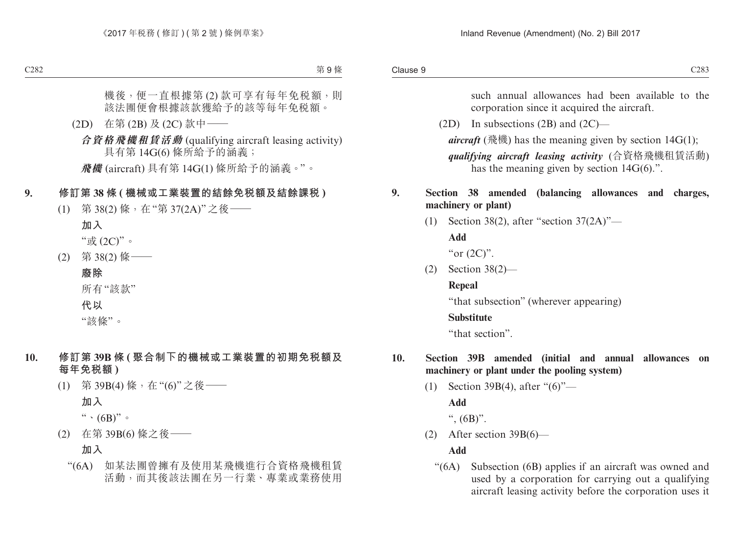such annual allowances had been available to the corporation since it acquired the aircraft.

(2D) In subsections (2B) and  $(2C)$ —

*aircraft* (飛機) has the meaning given by section  $14G(1)$ ;

*qualifying aircraft leasing activity* (合資格飛機租賃活動) has the meaning given by section 14G(6).".

#### **9. Section 38 amended (balancing allowances and charges, machinery or plant)**

(1) Section 38(2), after "section 37(2A)"—

**Add**

"or  $(2C)$ ".

(2) Section 38(2)—

#### **Repeal**

"that subsection" (wherever appearing)

#### **Substitute**

"that section".

#### **10. Section 39B amended (initial and annual allowances on machinery or plant under the pooling system)**

(1) Section 39B(4), after "(6)"— **Add**

 $\cdot$  (6B)".

(2) After section 39B(6)—

## **Add**

"(6A) Subsection (6B) applies if an aircraft was owned and used by a corporation for carrying out a qualifying aircraft leasing activity before the corporation uses it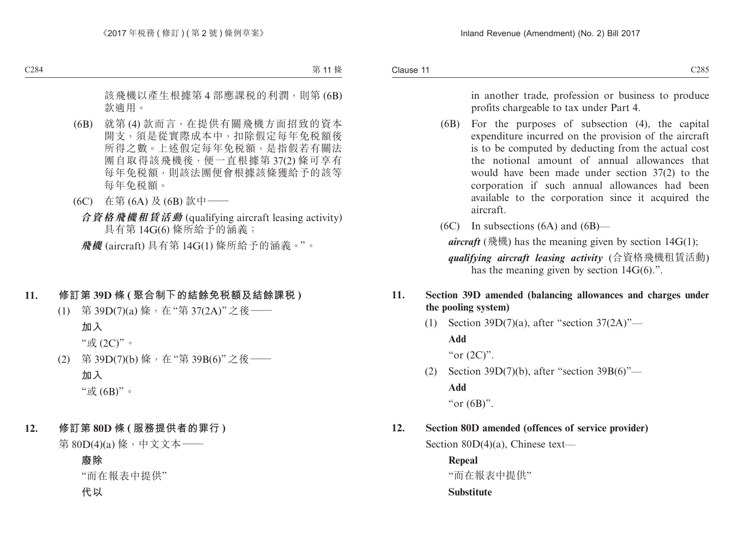Clause 11 Clause 11  $C285$ 

> in another trade, profession or business to produce profits chargeable to tax under Part 4.

- (6B) For the purposes of subsection (4), the capital expenditure incurred on the provision of the aircraft is to be computed by deducting from the actual cost the notional amount of annual allowances that would have been made under section 37(2) to the corporation if such annual allowances had been available to the corporation since it acquired the aircraft.
- (6C) In subsections (6A) and  $(6B)$ —

*aircraft* (飛機) has the meaning given by section  $14G(1)$ ;

*qualifying aircraft leasing activity* (合資格飛機租賃活動) has the meaning given by section 14G(6).".

#### **11. Section 39D amended (balancing allowances and charges under the pooling system)**

(1) Section 39D(7)(a), after "section 37(2A)"—

**Add**

"or  $(2C)$ ".

- (2) Section 39D(7)(b), after "section 39B(6)"— **Add** "or  $(6B)$ ".
- **12. Section 80D amended (offences of service provider)**

Section 80D(4)(a), Chinese text—

**Repeal**

"而在報表中提供"

#### **Substitute**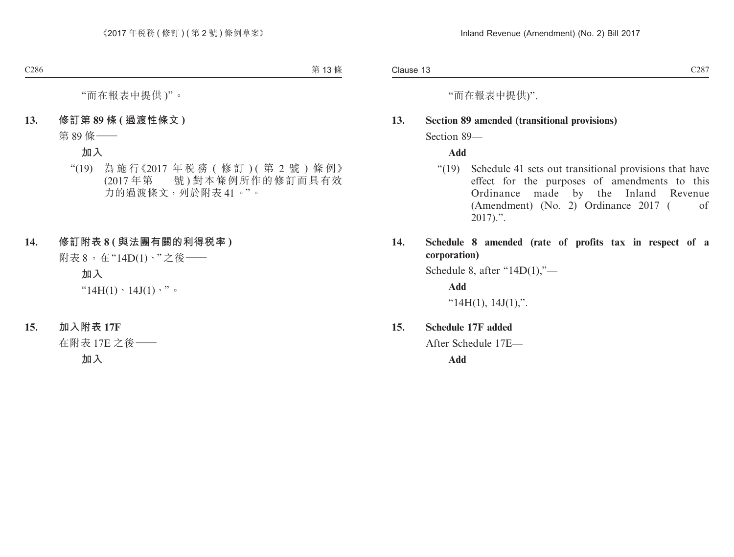"而在報表中提供)".

#### **13. Section 89 amended (transitional provisions)**

Section 89—

**Add**

- "(19) Schedule 41 sets out transitional provisions that have effect for the purposes of amendments to this Ordinance made by the Inland Revenue  $(Amendment)$  (No. 2) Ordinance 2017 ( of 2017).".
- **14. Schedule 8 amended (rate of profits tax in respect of a corporation)**

Schedule 8, after "14D(1),"—

**Add**

" $14H(1)$ ,  $14J(1)$ ,".

**15. Schedule 17F added**

After Schedule 17E—

**Add**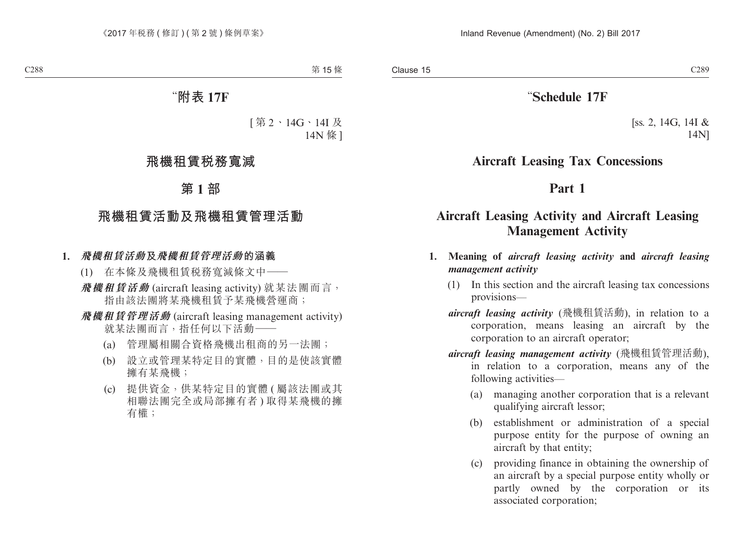## "**Schedule 17F**

[ss. 2, 14G, 14I  $&$ 14N]

## **Aircraft Leasing Tax Concessions**

### **Part 1**

## **Aircraft Leasing Activity and Aircraft Leasing Management Activity**

- **1. Meaning of** *aircraft leasing activity* **and** *aircraft leasing management activity*
	- (1) In this section and the aircraft leasing tax concessions provisions—
	- *aircraft leasing activity* (飛機租賃活動), in relation to a corporation, means leasing an aircraft by the corporation to an aircraft operator;
	- *aircraft leasing management activity* (飛機租賃管理活動), in relation to a corporation, means any of the following activities—
		- (a) managing another corporation that is a relevant qualifying aircraft lessor;
		- (b) establishment or administration of a special purpose entity for the purpose of owning an aircraft by that entity;
		- (c) providing finance in obtaining the ownership of an aircraft by a special purpose entity wholly or partly owned by the corporation or its associated corporation;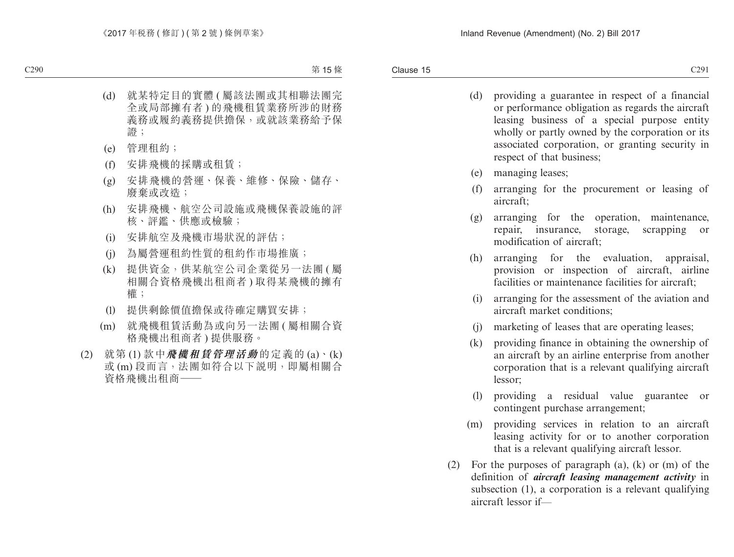- (d) providing a guarantee in respect of a financial or performance obligation as regards the aircraft leasing business of a special purpose entity wholly or partly owned by the corporation or its associated corporation, or granting security in respect of that business;
- (e) managing leases;
- (f) arranging for the procurement or leasing of aircraft;
- (g) arranging for the operation, maintenance, repair, insurance, storage, scrapping or modification of aircraft;
- (h) arranging for the evaluation, appraisal, provision or inspection of aircraft, airline facilities or maintenance facilities for aircraft:
- (i) arranging for the assessment of the aviation and aircraft market conditions;
- (j) marketing of leases that are operating leases;
- (k) providing finance in obtaining the ownership of an aircraft by an airline enterprise from another corporation that is a relevant qualifying aircraft lessor;
- (l) providing a residual value guarantee or contingent purchase arrangement;
- (m) providing services in relation to an aircraft leasing activity for or to another corporation that is a relevant qualifying aircraft lessor.
- (2) For the purposes of paragraph  $(a)$ ,  $(k)$  or  $(m)$  of the definition of *aircraft leasing management activity* in subsection (1), a corporation is a relevant qualifying aircraft lessor if—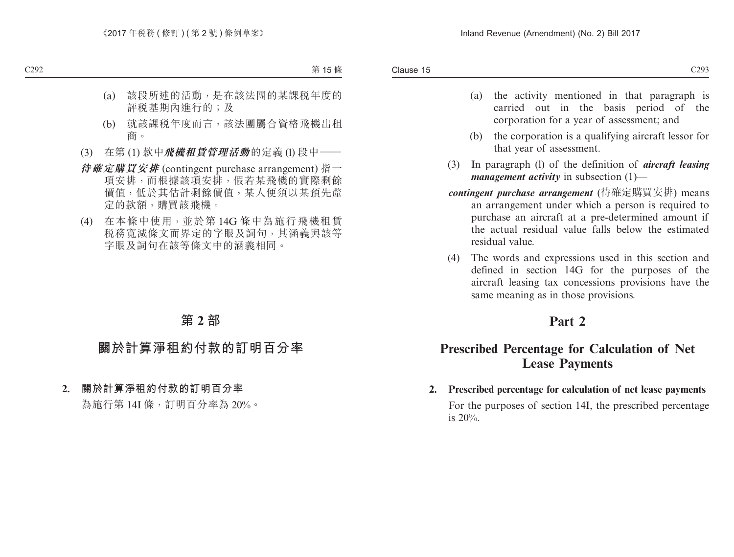- (a) the activity mentioned in that paragraph is carried out in the basis period of the corporation for a year of assessment; and
- (b) the corporation is a qualifying aircraft lessor for that year of assessment.
- (3) In paragraph (l) of the definition of *aircraft leasing management activity* in subsection (1)—
- *contingent purchase arrangement* (待確定購買安排) means an arrangement under which a person is required to purchase an aircraft at a pre-determined amount if the actual residual value falls below the estimated residual value.
- (4) The words and expressions used in this section and defined in section 14G for the purposes of the aircraft leasing tax concessions provisions have the same meaning as in those provisions.

## **Part 2**

## **Prescribed Percentage for Calculation of Net Lease Payments**

**2. Prescribed percentage for calculation of net lease payments** For the purposes of section 14I, the prescribed percentage is 20%.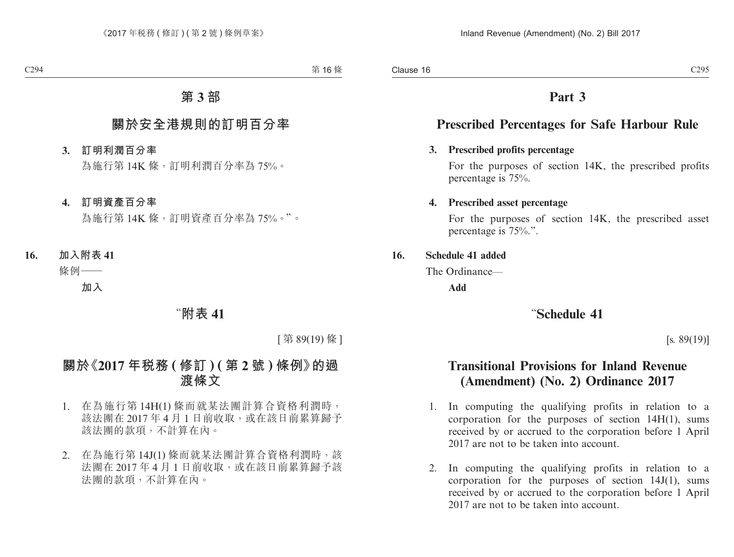## **Part 3**

## **Prescribed Percentages for Safe Harbour Rule**

#### **3. Prescribed profits percentage**

For the purposes of section 14K, the prescribed profits percentage is 75%.

#### **4. Prescribed asset percentage**

For the purposes of section 14K, the prescribed asset percentage is 75%.".

#### **16. Schedule 41 added**

The Ordinance—

**Add**

## "**Schedule 41**

 $[s. 89(19)]$ 

## **Transitional Provisions for Inland Revenue (Amendment) (No. 2) Ordinance 2017**

- 1. In computing the qualifying profits in relation to a corporation for the purposes of section 14H(1), sums received by or accrued to the corporation before 1 April 2017 are not to be taken into account.
- 2. In computing the qualifying profits in relation to a corporation for the purposes of section 14J(1), sums received by or accrued to the corporation before 1 April 2017 are not to be taken into account.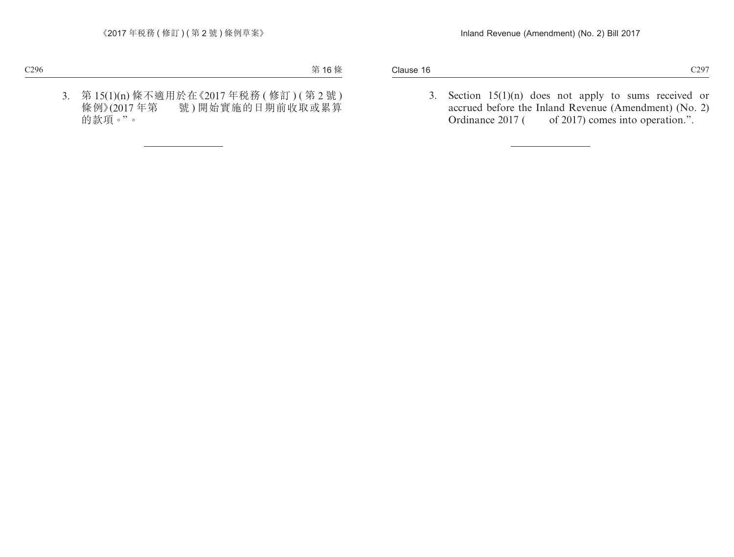3. Section 15(1)(n) does not apply to sums received or accrued before the Inland Revenue (Amendment) (No. 2) Ordinance 2017 ( of 2017) comes into operation.".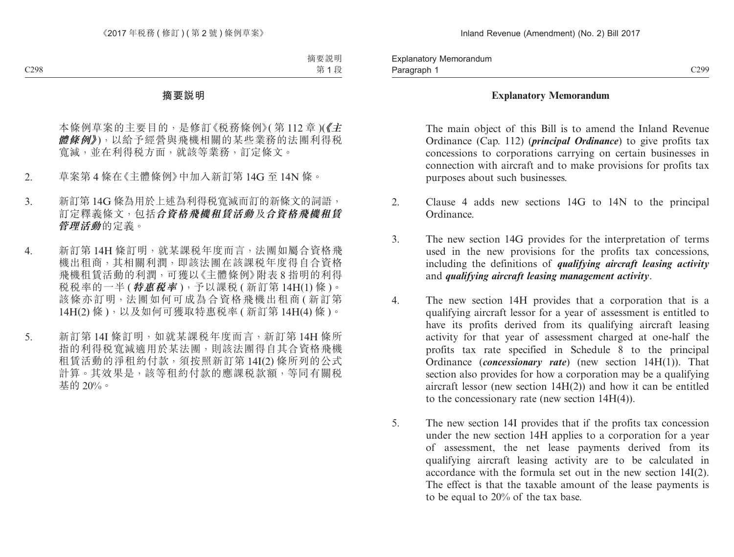#### **Explanatory Memorandum**

The main object of this Bill is to amend the Inland Revenue Ordinance (Cap. 112) (*principal Ordinance*) to give profits tax concessions to corporations carrying on certain businesses in connection with aircraft and to make provisions for profits tax purposes about such businesses.

- 2. Clause 4 adds new sections 14G to 14N to the principal Ordinance.
- 3. The new section 14G provides for the interpretation of terms used in the new provisions for the profits tax concessions, including the definitions of *qualifying aircraft leasing activity*  and *qualifying aircraft leasing management activity*.
- 4. The new section 14H provides that a corporation that is a qualifying aircraft lessor for a year of assessment is entitled to have its profits derived from its qualifying aircraft leasing activity for that year of assessment charged at one-half the profits tax rate specified in Schedule 8 to the principal Ordinance (*concessionary rate*) (new section 14H(1)). That section also provides for how a corporation may be a qualifying aircraft lessor (new section 14H(2)) and how it can be entitled to the concessionary rate (new section 14H(4)).
- 5. The new section 14I provides that if the profits tax concession under the new section 14H applies to a corporation for a year of assessment, the net lease payments derived from its qualifying aircraft leasing activity are to be calculated in accordance with the formula set out in the new section 14I(2). The effect is that the taxable amount of the lease payments is to be equal to 20% of the tax base.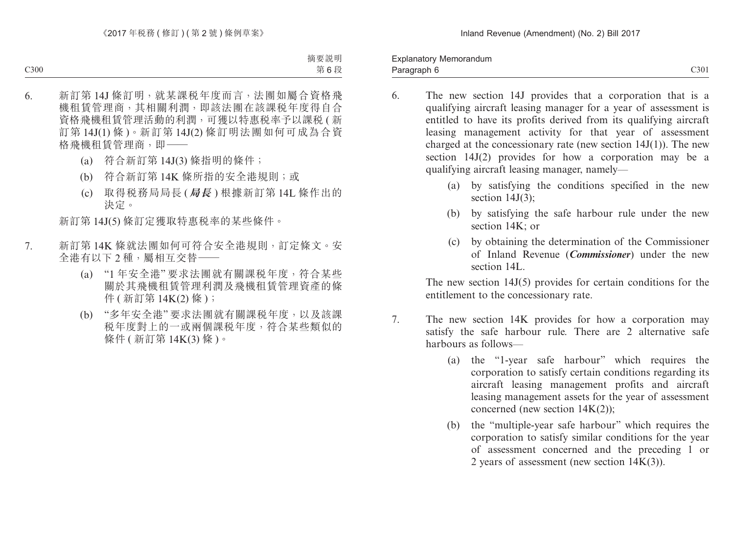Paragraph 6 and 200 control of the control of the control of the control of the control of the control of the control of the control of the control of the control of the control of the control of the control of the control Explanatory Memorandum Paragraph 6

- 6. The new section 14J provides that a corporation that is a qualifying aircraft leasing manager for a year of assessment is entitled to have its profits derived from its qualifying aircraft leasing management activity for that year of assessment charged at the concessionary rate (new section  $14J(1)$ ). The new section 14J(2) provides for how a corporation may be a qualifying aircraft leasing manager, namely—
	- (a) by satisfying the conditions specified in the new section 14J(3):
	- (b) by satisfying the safe harbour rule under the new section  $14K$ ; or
	- (c) by obtaining the determination of the Commissioner of Inland Revenue (*Commissioner*) under the new section 14L.

The new section 14J(5) provides for certain conditions for the entitlement to the concessionary rate.

- 7. The new section 14K provides for how a corporation may satisfy the safe harbour rule. There are 2 alternative safe harbours as follows—
	- (a) the "1-year safe harbour" which requires the corporation to satisfy certain conditions regarding its aircraft leasing management profits and aircraft leasing management assets for the year of assessment concerned (new section  $14K(2)$ );
	- (b) the "multiple-year safe harbour" which requires the corporation to satisfy similar conditions for the year of assessment concerned and the preceding 1 or 2 years of assessment (new section  $14K(3)$ ).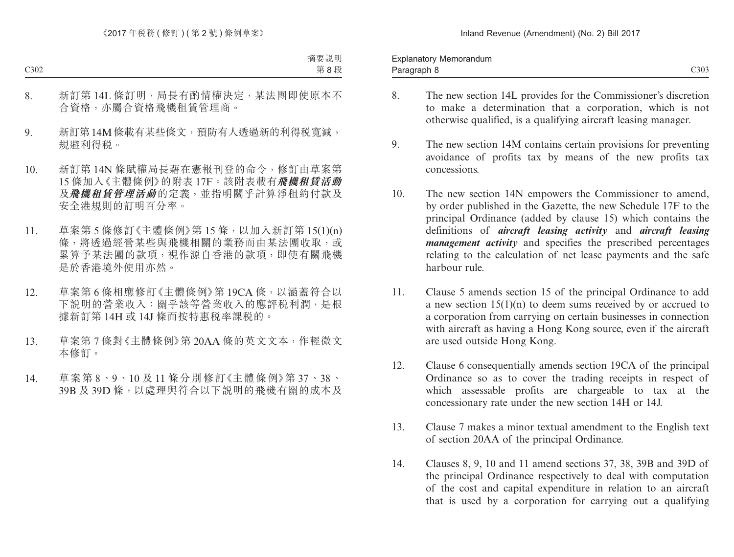| Memorandum<br><b>Explanator</b> |      |
|---------------------------------|------|
| Paragraph c                     | C303 |

- 8. The new section 14L provides for the Commissioner's discretion to make a determination that a corporation, which is not otherwise qualified, is a qualifying aircraft leasing manager.
- 9. The new section 14M contains certain provisions for preventing avoidance of profits tax by means of the new profits tax concessions.
- 10. The new section 14N empowers the Commissioner to amend, by order published in the Gazette, the new Schedule 17F to the principal Ordinance (added by clause 15) which contains the definitions of *aircraft leasing activity* and *aircraft leasing management activity* and specifies the prescribed percentages relating to the calculation of net lease payments and the safe harbour rule.
- 11. Clause 5 amends section 15 of the principal Ordinance to add a new section 15(1)(n) to deem sums received by or accrued to a corporation from carrying on certain businesses in connection with aircraft as having a Hong Kong source, even if the aircraft are used outside Hong Kong.
- 12. Clause 6 consequentially amends section 19CA of the principal Ordinance so as to cover the trading receipts in respect of which assessable profits are chargeable to tax at the concessionary rate under the new section 14H or 14J.
- 13. Clause 7 makes a minor textual amendment to the English text of section 20AA of the principal Ordinance.
- 14. Clauses 8, 9, 10 and 11 amend sections 37, 38, 39B and 39D of the principal Ordinance respectively to deal with computation of the cost and capital expenditure in relation to an aircraft that is used by a corporation for carrying out a qualifying